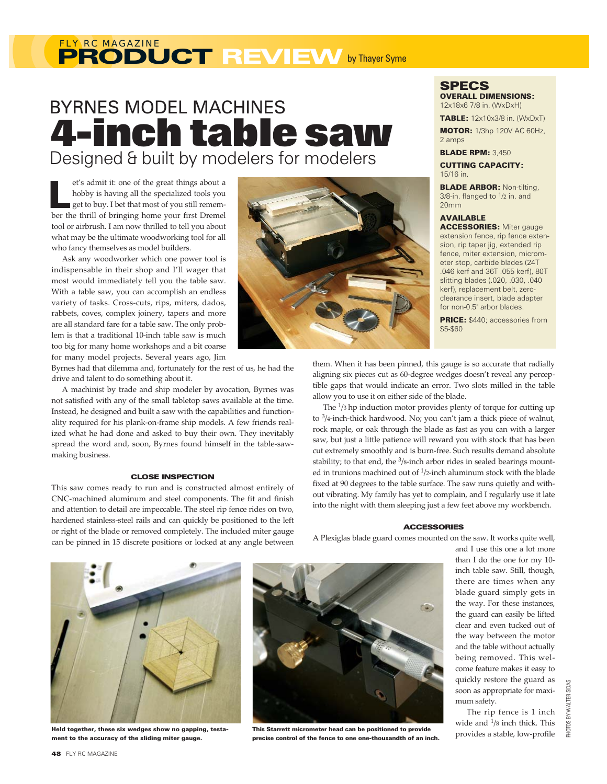# **PRODUCT REVIEW** by Thayer Syme *FLY RC MAGAZINE*

# BYRNES MODEL MACHINES **4-inch table saw** Designed & built by modelers for modelers

et's admit it: one of the great things about a hobby is having all the specialized tools you get to buy. I bet that most of you still rememet's admit it: one of the great things about a<br>hobby is having all the specialized tools you<br>get to buy. I bet that most of you still remem-<br>ber the thrill of bringing home your first Dremel tool or airbrush. I am now thrilled to tell you about what may be the ultimate woodworking tool for all who fancy themselves as model builders.

Ask any woodworker which one power tool is indispensable in their shop and I'll wager that most would immediately tell you the table saw. With a table saw, you can accomplish an endless variety of tasks. Cross-cuts, rips, miters, dados, rabbets, coves, complex joinery, tapers and more are all standard fare for a table saw. The only problem is that a traditional 10-inch table saw is much too big for many home workshops and a bit coarse for many model projects. Several years ago, Jim

Byrnes had that dilemma and, fortunately for the rest of us, he had the drive and talent to do something about it.

A machinist by trade and ship modeler by avocation, Byrnes was not satisfied with any of the small tabletop saws available at the time. Instead, he designed and built a saw with the capabilities and functionality required for his plank-on-frame ship models. A few friends realized what he had done and asked to buy their own. They inevitably spread the word and, soon, Byrnes found himself in the table-sawmaking business.

### CLOSE INSPECTION

This saw comes ready to run and is constructed almost entirely of CNC-machined aluminum and steel components. The fit and finish and attention to detail are impeccable. The steel rip fence rides on two, hardened stainless-steel rails and can quickly be positioned to the left or right of the blade or removed completely. The included miter gauge can be pinned in 15 discrete positions or locked at any angle between



**SPECS** OVERALL DIMENSIONS:

12x18x6 7/8 in. (WxDxH)

TABLE: 12x10x3/8 in. (WxDxT) MOTOR: 1/3hp 120V AC 60Hz, 2 amps

**BLADE RPM: 3.450** 

CUTTING CAPACITY: 15/16 in.

**BLADE ARBOR: Non-tilting,**  $3/8$ -in. flanged to  $1/2$  in. and 20mm

# AVAILABLE

ACCESSORIES: Miter gauge extension fence, rip fence extension, rip taper jig, extended rip fence, miter extension, micrometer stop, carbide blades (24T .046 kerf and 36T .055 kerf), 80T slitting blades (.020, .030, .040 kerf), replacement belt, zeroclearance insert, blade adapter for non-0.5" arbor blades.

PRICE: \$440; accessories from \$5-\$60

them. When it has been pinned, this gauge is so accurate that radially aligning six pieces cut as 60-degree wedges doesn't reveal any perceptible gaps that would indicate an error. Two slots milled in the table allow you to use it on either side of the blade.

The 1/3 hp induction motor provides plenty of torque for cutting up to  $\frac{3}{4}$ -inch-thick hardwood. No; you can't jam a thick piece of walnut, rock maple, or oak through the blade as fast as you can with a larger saw, but just a little patience will reward you with stock that has been cut extremely smoothly and is burn-free. Such results demand absolute stability; to that end, the <sup>3</sup>/8-inch arbor rides in sealed bearings mounted in trunions machined out of 1/2-inch aluminum stock with the blade fixed at 90 degrees to the table surface. The saw runs quietly and without vibrating. My family has yet to complain, and I regularly use it late into the night with them sleeping just a few feet above my workbench.

#### **ACCESSORIES**

A Plexiglas blade guard comes mounted on the saw. It works quite well,



Held together, these six wedges show no gapping, testament to the accuracy of the sliding miter gauge.



This Starrett micrometer head can be positioned to provide precise control of the fence to one one-thousandth of an inch.

and I use this one a lot more than I do the one for my 10 inch table saw. Still, though, there are times when any blade guard simply gets in the way. For these instances, the guard can easily be lifted clear and even tucked out of the way between the motor and the table without actually being removed. This welcome feature makes it easy to quickly restore the guard as soon as appropriate for maximum safety.

The rip fence is 1 inch wide and 1/8 inch thick. This provides a stable, low-profile